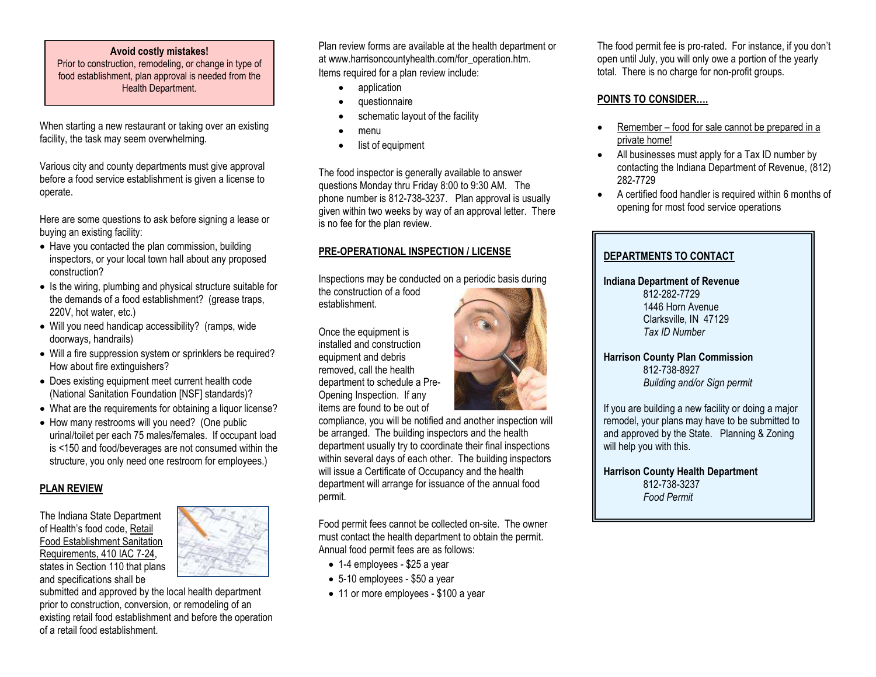#### **Avoid costly mistakes!**

Prior to construction, remodeling, or change in type of food establishment, plan approval is needed from the Health Department.

When starting a new restaurant or taking over an existing facility, the task may seem overwhelming.

Various city and county departments must give approval before a food service establishment is given a license to operate.

Here are some questions to ask before signing a lease or buying an existing facility:

- Have you contacted the plan commission, building inspectors, or your local town hall about any proposed construction?
- Is the wiring, plumbing and physical structure suitable for the demands of a food establishment? (grease traps, 220V, hot water, etc.)
- Will you need handicap accessibility? (ramps, wide doorways, handrails)
- Will a fire suppression system or sprinklers be required? How about fire extinguishers?
- Does existing equipment meet current health code (National Sanitation Foundation [NSF] standards)?
- What are the requirements for obtaining a liquor license?
- How many restrooms will you need? (One public urinal/toilet per each 75 males/females. If occupant load is <150 and food/beverages are not consumed within the structure, you only need one restroom for employees.)

## **PLAN REVIEW**

The Indiana State Department of Health's food code, Retail Food Establishment Sanitation Requirements, 410 IAC 7-24, states in Section 110 that plans and specifications shall be



submitted and approved by the local health department prior to construction, conversion, or remodeling of an existing retail food establishment and before the operation of a retail food establishment.

Plan review forms are available at the health department or at www.harrisoncountyhealth.com/for\_operation.htm. Items required for a plan review include:

- application
- questionnaire
- schematic layout of the facility
- menu
- list of equipment

The food inspector is generally available to answer questions Monday thru Friday 8:00 to 9:30 AM. The phone number is 812-738-3237. Plan approval is usually given within two weeks by way of an approval letter. There is no fee for the plan review.

# **PRE-OPERATIONAL INSPECTION / LICENSE**

Inspections may be conducted on a periodic basis during

the construction of a food establishment.

Once the equipment is installed and construction equipment and debris removed, call the health department to schedule a Pre-Opening Inspection. If any items are found to be out of

compliance, you will be notified and another inspection will be arranged. The building inspectors and the health department usually try to coordinate their final inspections within several days of each other. The building inspectors will issue a Certificate of Occupancy and the health department will arrange for issuance of the annual food permit.

Food permit fees cannot be collected on-site. The owner must contact the health department to obtain the permit. Annual food permit fees are as follows:

- 1-4 employees \$25 a year
- 5-10 employees \$50 a year
- 11 or more employees \$100 a year

The food permit fee is pro-rated. For instance, if you don't open until July, you will only owe a portion of the yearly total. There is no charge for non-profit groups.

## **POINTS TO CONSIDER….**

- Remember food for sale cannot be prepared in a private home!
- All businesses must apply for a Tax ID number by contacting the Indiana Department of Revenue, (812) 282-7729
- A certified food handler is required within 6 months of opening for most food service operations

| DEPARTMENTS TO CONTACT                                                                                                                                                             |  |
|------------------------------------------------------------------------------------------------------------------------------------------------------------------------------------|--|
| <b>Indiana Department of Revenue</b><br>812-282-7729<br>1446 Horn Avenue<br>Clarksville, IN 47129<br>Tax ID Number                                                                 |  |
| <b>Harrison County Plan Commission</b><br>812-738-8927<br>Building and/or Sign permit                                                                                              |  |
| If you are building a new facility or doing a major<br>remodel, your plans may have to be submitted to<br>and approved by the State. Planning & Zoning<br>will help you with this. |  |
| <b>Harrison County Health Department</b><br>812-738-3237<br><b>Food Permit</b>                                                                                                     |  |